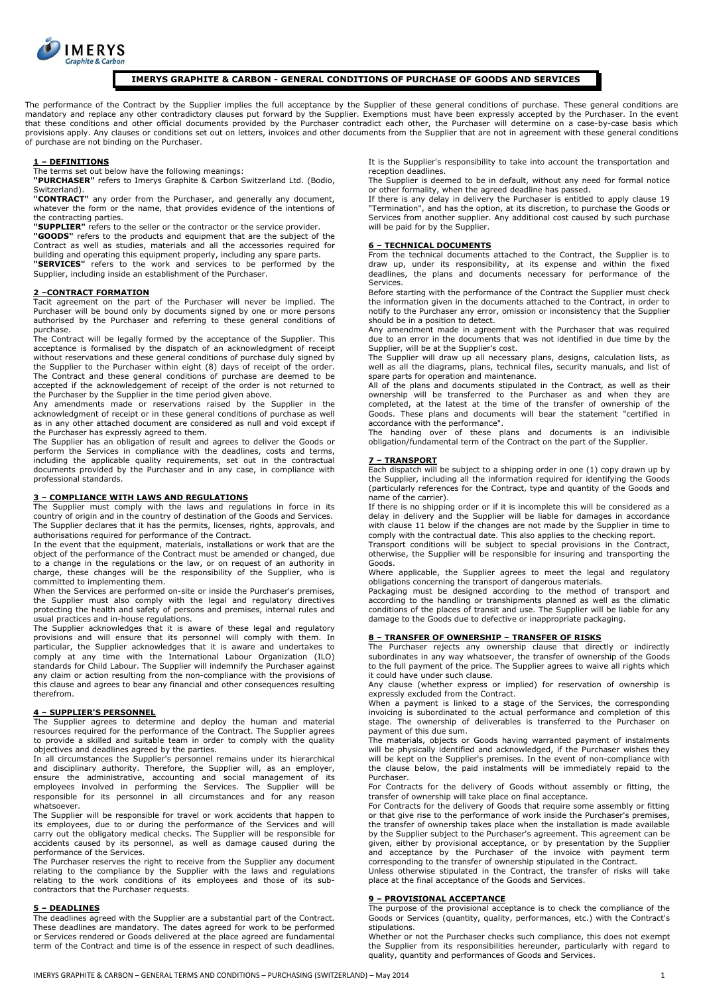

# **IMERYS GRAPHITE & CARBON - GENERAL CONDITIONS OF PURCHASE OF GOODS AND SERVICES**

The performance of the Contract by the Supplier implies the full acceptance by the Supplier of these general conditions of purchase. These general conditions are mandatory and replace any other contradictory clauses put forward by the Supplier. Exemptions must have been expressly accepted by the Purchaser. In the event<br>that these conditions and other official documents provided by provisions apply. Any clauses or conditions set out on letters, invoices and other documents from the Supplier that are not in agreement with these general conditions of purchase are not binding on the Purchaser.

## **1 – DEFINITIONS**

The terms set out below have the following meanings:

**"PURCHASER"** refers to Imerys Graphite & Carbon Switzerland Ltd. (Bodio, Switzerland).

**"CONTRACT"** any order from the Purchaser, and generally any document, whatever the form or the name, that provides evidence of the intentions of the contracting parties.

**"SUPPLIER"** refers to the seller or the contractor or the service provider. **"GOODS"** refers to the products and equipment that are the subject of the Contract as well as studies, materials and all the accessories required for

building and operating this equipment properly, including any spare parts. **"SERVICES"** refers to the work and services to be performed by the Supplier, including inside an establishment of the Purchaser.

## **2 –CONTRACT FORMATION**

Tacit agreement on the part of the Purchaser will never be implied. The Purchaser will be bound only by documents signed by one or more persons authorised by the Purchaser and referring to these general conditions of purchase.

The Contract will be legally formed by the acceptance of the Supplier. This acceptance is formalised by the dispatch of an acknowledgment of receipt without reservations and these general conditions of purchase duly signed by the Supplier to the Purchaser within eight (8) days of receipt of the order. The Contract and these general conditions of purchase are deemed to be accepted if the acknowledgement of receipt of the order is not returned to the Purchaser by the Supplier in the time period given above.

Any amendments made or reservations raised by the Supplier in the acknowledgment of receipt or in these general conditions of purchase as well

as in any other attached document are considered as null and void except if<br>the Purchaser has expressly agreed to them.<br>The Supplier has an obligation of result and agrees to deliver the Goods or<br>The Supplier has an obliga including the applicable quality requirements, set out in the contractual documents provided by the Purchaser and in any case, in compliance with professional standards.

## **3 – COMPLIANCE WITH LAWS AND REGULATIONS**

The Supplier must comply with the laws and regulations in force in its country of origin and in the country of destination of the Goods and Services. The Supplier declares that it has the permits, licenses, rights, approvals, and authorisations required for performance of the Contract.

In the event that the equipment, materials, installations or work that are the object of the performance of the Contract must be amended or changed, due to a change in the regulations or the law, or on request of an authority in charge, these changes will be the responsibility of the Supplier, who is

committed to implementing them. When the Services are performed on-site or inside the Purchaser's premises, the Supplier must also comply with the legal and regulatory directives protecting the health and safety of persons and premises, internal rules and usual practices and in-house regulations.

The Supplier acknowledges that it is aware of these legal and regulatory provisions and will ensure that its personnel will comply with them. In particular, the Supplier acknowledges that it is aware and undertakes to comply at any time with the International Labour Organization (ILO) standards for Child Labour. The Supplier will indemnify the Purchaser against any claim or action resulting from the non-compliance with the provisions of this clause and agrees to bear any financial and other consequences resulting therefrom.

## **4 – SUPPLIER'S PERSONNEL**

The Supplier agrees to determine and deploy the human and material resources required for the performance of the Contract. The Supplier agrees to provide a skilled and suitable team in order to comply with the quality objectives and deadlines agreed by the parties.

In all circumstances the Supplier's personnel remains under its hierarchical and disciplinary authority. Therefore, the Supplier will, as an employer, ensure the administrative, accounting and social management of its employees involved in performing the Services. The Supplier will be responsible for its personnel in all circumstances and for any reason whatsoever.

The Supplier will be responsible for travel or work accidents that happen to its employees, due to or during the performance of the Services and will carry out the obligatory medical checks. The Supplier will be responsible for accidents caused by its personnel, as well as damage caused during the performance of the Services.

The Purchaser reserves the right to receive from the Supplier any document relating to the compliance by the Supplier with the laws and regulations relating to the work conditions of its employees and those of its sub-contractors that the Purchaser requests.

## **5 – DEADLINES**

The deadlines agreed with the Supplier are a substantial part of the Contract. These deadlines are mandatory. The dates agreed for work to be performed or Services rendered or Goods delivered at the place agreed are fundamental term of the Contract and time is of the essence in respect of such deadlines.

It is the Supplier's responsibility to take into account the transportation and reception deadlines.

The Supplier is deemed to be in default, without any need for formal notice or other formality, when the agreed deadline has passed.

If there is any delay in delivery the Purchaser is entitled to apply clause 19 "Termination", and has the option, at its discretion, to purchase the Goods or Services from another supplier. Any additional cost caused by such purchase will be paid for by the Supplier.

#### **6 – TECHNICAL DOCUMENTS**

From the technical documents attached to the Contract, the Supplier is to draw up, under its responsibility, at its expense and within the fixed deadlines, the plans and documents necessary for performance of the Services.

Before starting with the performance of the Contract the Supplier must check the information given in the documents attached to the Contract, in order to notify to the Purchaser any error, omission or inconsistency that the Supplier

should be in a position to detect. Any amendment made in agreement with the Purchaser that was required due to an error in the documents that was not identified in due time by the Supplier, will be at the Supplier's cost.

The Supplier will draw up all necessary plans, designs, calculation lists, as well as all the diagrams, plans, technical files, security manuals, and list of spare parts for operation and maintenance.

All of the plans and documents stipulated in the Contract, as well as their ownership will be transferred to the Purchaser as and when they are completed, at the latest at the time of the transfer of ownership of the Goods. These plans and documents will bear the statement "certified in

accordance with the performance". The handing over of these plans and documents is an indivisible obligation/fundamental term of the Contract on the part of the Supplier.

# **7 – TRANSPORT**

Each dispatch will be subject to a shipping order in one (1) copy drawn up by the Supplier, including all the information required for identifying the Goods (particularly references for the Contract, type and quantity of the Goods and name of the carrier).

If there is no shipping order or if it is incomplete this will be considered as a delay in delivery and the Supplier will be liable for damages in accordance with clause 11 below if the changes are not made by the Supplier in time to comply with the contractual date. This also applies to the checking report.

Transport conditions will be subject to special provisions in the Contract, otherwise, the Supplier will be responsible for insuring and transporting the Goods.

Where applicable, the Supplier agrees to meet the legal and regulatory obligations concerning the transport of dangerous materials. Packaging must be designed according to the method of transport and

according to the handling or transhipments planned as well as the climatic conditions of the places of transit and use. The Supplier will be liable for any damage to the Goods due to defective or inappropriate packaging.

**8 – TRANSFER OF OWNERSHIP – TRANSFER OF RISKS**  The Purchaser rejects any ownership clause that directly or indirectly subordinates in any way whatsoever, the transfer of ownership of the Goods to the full payment of the price. The Supplier agrees to waive all rights which it could have under such clause.

Any clause (whether express or implied) for reservation of ownership is expressly excluded from the Contract.

When a payment is linked to a stage of the Services, the corresponding invoicing is subordinated to the actual performance and completion of this stage. The ownership of deliverables is transferred to the Purchaser on payment of this due sum.

The materials, objects or Goods having warranted payment of instalments will be physically identified and acknowledged, if the Purchaser wishes they will be kept on the Supplier's premises. In the event of non-compliance with the clause below, the paid instalments will be immediately repaid to the Purchaser.

For Contracts for the delivery of Goods without assembly or fitting, the transfer of ownership will take place on final acceptance.

For Contracts for the delivery of Goods that require some assembly or fitting or that give rise to the performance of work inside the Purchaser's premises, the transfer of ownership takes place when the installation is made available<br>by the Supplier subject to the Purchaser's agreement. This agreement can be<br>given, either by provisional acceptance, or by presentation by the S corresponding to the transfer of ownership stipulated in the Contract.

Unless otherwise stipulated in the Contract, the transfer of risks will take place at the final acceptance of the Goods and Services.

## **9 – PROVISIONAL ACCEPTANCE**

The purpose of the provisional acceptance is to check the compliance of the Goods or Services (quantity, quality, performances, etc.) with the Contract's stipulations.

Whether or not the Purchaser checks such compliance, this does not exempt the Supplier from its responsibilities hereunder, particularly with regard to quality, quantity and performances of Goods and Services.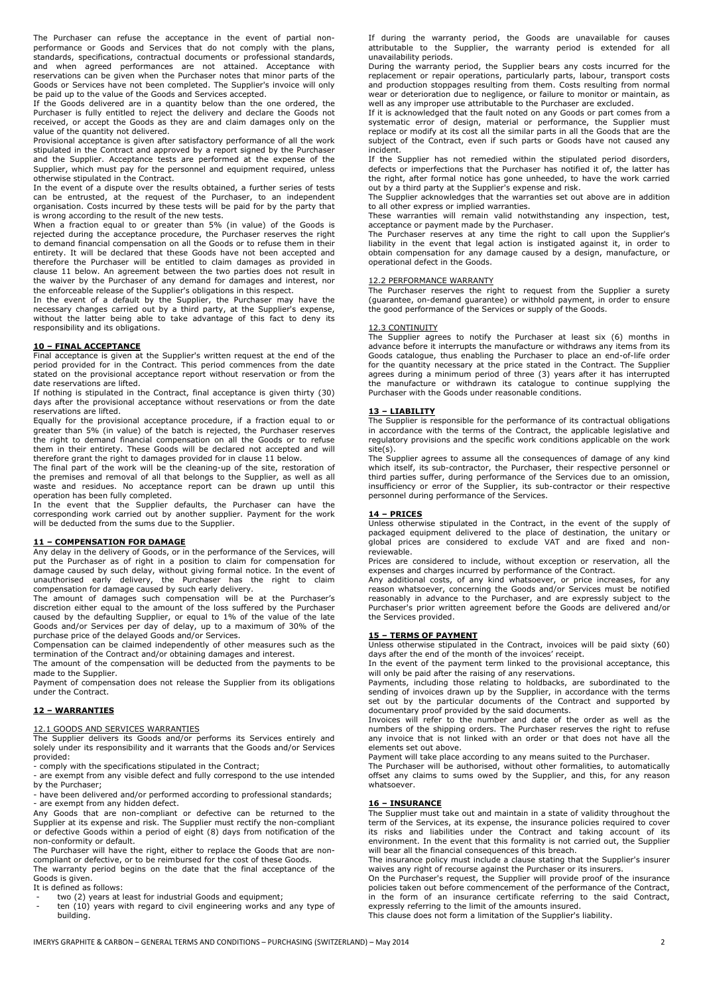The Purchaser can refuse the acceptance in the event of partial nonperformance or Goods and Services that do not comply with the plans, standards, specifications, contractual documents or professional standards, and when agreed performances are not attained. Acceptance with reservations can be given when the Purchaser notes that minor parts of the Goods or Services have not been completed. The Supplier's invoice will only

be paid up to the value of the Goods and Services accepted. If the Goods delivered are in a quantity below than the one ordered, the Purchaser is fully entitled to reject the delivery and declare the Goods not received, or accept the Goods as they are and claim damages only on the

value of the quantity not delivered. Provisional acceptance is given after satisfactory performance of all the work stipulated in the Contract and approved by a report signed by the Purchaser and the Supplier. Acceptance tests are performed at the expense of the Supplier, which must pay for the personnel and equipment required, unless otherwise stipulated in the Contract.

In the event of a dispute over the results obtained, a further series of tests can be entrusted, at the request of the Purchaser, to an independent organisation. Costs incurred by these tests will be paid for by the party that is wrong according to the result of the new tests.

When a fraction equal to or greater than 5% (in value) of the Goods is rejected during the acceptance procedure, the Purchaser reserves the right to demand financial compensation on all the Goods or to refuse them in their entirety. It will be declared that these Goods have not been accepted and therefore the Purchaser will be entitled to claim damages as provided in clause 11 below. An agreement between the two parties does not result in the waiver by the Purchaser of any demand for damages and interest, nor the enforceable release of the Supplier's obligations in this respect.

In the event of a default by the Supplier, the Purchaser may have the necessary changes carried out by a third party, at the Supplier's expense, without the latter being able to take advantage of this fact to deny its responsibility and its obligations.

**10 – FINAL ACCEPTANCE**  Final acceptance is given at the Supplier's written request at the end of the period provided for in the Contract. This period commences from the date stated on the provisional acceptance report without reservation or from the

date reservations are lifted. If nothing is stipulated in the Contract, final acceptance is given thirty (30) days after the provisional acceptance without reservations or from the date reservations are lifted.

Equally for the provisional acceptance procedure, if a fraction equal to or greater than 5% (in value) of the batch is rejected, the Purchaser reserves the right to demand financial compensation on all the Goods or to refuse them in their entirety. These Goods will be declared not accepted and will therefore grant the right to damages provided for in clause 11 below.

The final part of the work will be the cleaning-up of the site, restoration of the premises and removal of all that belongs to the Supplier, as well as all waste and residues. No acceptance report can be drawn up until this

operation has been fully completed. In the event that the Supplier defaults, the Purchaser can have the corresponding work carried out by another supplier. Payment for the work will be deducted from the sums due to the Supplier.

## **11 – COMPENSATION FOR DAMAGE**

Any delay in the delivery of Goods, or in the performance of the Services, will put the Purchaser as of right in a position to claim for compensation for damage caused by such delay, without giving formal notice. In the event of unauthorised early delivery, the Purchaser has the right to claim compensation for damage caused by such early delivery.

The amount of damages such compensation will be at the Purchaser's discretion either equal to the amount of the loss suffered by the Purchaser caused by the defaulting Supplier, or equal to 1% of the value of the late Goods and/or Services per day of delay, up to a maximum of 30% of the

purchase price of the delayed Goods and/or Services.<br>Compensation can be claimed independently of other measures such as the<br>termination of the Contract and/or obtaining damages and interest.<br>The amount of the compensation

made to the Supplier.

Payment of compensation does not release the Supplier from its obligations under the Contract.

# **12 – WARRANTIES**

## 12.1 GOODS AND SERVICES WARRANTIES

The Supplier delivers its Goods and/or performs its Services entirely and solely under its responsibility and it warrants that the Goods and/or Services provided:

- comply with the specifications stipulated in the Contract;

- are exempt from any visible defect and fully correspond to the use intended by the Purchaser;

- have been delivered and/or performed according to professional standards; - are exempt from any hidden defect.

Any Goods that are non-compliant or defective can be returned to the Supplier at its expense and risk. The Supplier must rectify the non-compliant or defective Goods within a period of eight (8) days from notification of the non-conformity or default.

The Purchaser will have the right, either to replace the Goods that are noncompliant or defective, or to be reimbursed for the cost of these Goods. The warranty period begins on the date that the final acceptance of the

Goods is given. It is defined as follows:

two (2) years at least for industrial Goods and equipment;

ten (10) years with regard to civil engineering works and any type of building.

If during the warranty period, the Goods are unavailable for causes attributable to the Supplier, the warranty period is extended for all unavailability periods.

During the warranty period, the Supplier bears any costs incurred for the replacement or repair operations, particularly parts, labour, transport costs and production stoppages resulting from them. Costs resulting from normal wear or deterioration due to negligence, or failure to monitor or maintain, as well as any improper use attributable to the Purchaser are excluded.

If it is acknowledged that the fault noted on any Goods or part comes from a systematic error of design, material or performance, the Supplier must replace or modify at its cost all the similar parts in all the Goods that are the subject of the Contract, even if such parts or Goods have not caused any incident.

If the Supplier has not remedied within the stipulated period disorders, defects or imperfections that the Purchaser has notified it of, the latter has the right, after formal notice has gone unheeded, to have the work carried out by a third party at the Supplier's expense and risk.

The Supplier acknowledges that the warranties set out above are in addition to all other express or implied warranties.

These warranties will remain valid notwithstanding any inspection, test, acceptance or payment made by the Purchaser.

The Purchaser reserves at any time the right to call upon the Supplier's liability in the event that legal action is instigated against it, in order to obtain compensation for any damage caused by a design, manufacture, or operational defect in the Goods.

## 12.2 PERFORMANCE WARRANTY

The Purchaser reserves the right to request from the Supplier a surety (guarantee, on-demand guarantee) or withhold payment, in order to ensure the good performance of the Services or supply of the Goods.

## 12.3 CONTINUITY

The Supplier agrees to notify the Purchaser at least six (6) months in advance before it interrupts the manufacture or withdraws any items from its Goods catalogue, thus enabling the Purchaser to place an end-of-life order for the quantity necessary at the price stated in the Contract. The Supplier agrees during a minimum period of three (3) years after it has interrupted the manufacture or withdrawn its catalogue to continue supplying the Purchaser with the Goods under reasonable conditions.

#### **13 – LIABILITY**

The Supplier is responsible for the performance of its contractual obligations in accordance with the terms of the Contract, the applicable legislative and regulatory provisions and the specific work conditions applicable on the work site(s).

The Supplier agrees to assume all the consequences of damage of any kind which itself, its sub-contractor, the Purchaser, their respective personnel or third parties suffer, during performance of the Services due to an omission, insufficiency or error of the Supplier, its sub-contractor or their respective personnel during performance of the Services.

## **14 – PRICES**

Unless otherwise stipulated in the Contract, in the event of the supply of packaged equipment delivered to the place of destination, the unitary or global prices are considered to exclude VAT and are fixed and nonreviewable.

Prices are considered to include, without exception or reservation, all the expenses and charges incurred by performance of the Contract. Any additional costs, of any kind whatsoever, or price increases, for any

reason whatsoever, concerning the Goods and/or Services must be notified reasonably in advance to the Purchaser, and are expressly subject to the Purchaser's prior written agreement before the Goods are delivered and/or the Services provided.

## **15 – TERMS OF PAYMENT**

Unless otherwise stipulated in the Contract, invoices will be paid sixty (60) days after the end of the month of the invoices' receipt.

In the event of the payment term linked to the provisional acceptance, this will only be paid after the raising of any reservations.

Payments, including those relating to holdbacks, are subordinated to the sending of invoices drawn up by the Supplier, in accordance with the terms set out by the particular documents of the Contract and supported by documentary proof provided by the said documents.

Invoices will refer to the number and date of the order as well as the numbers of the shipping orders. The Purchaser reserves the right to refuse any invoice that is not linked with an order or that does not have all the elements set out above.

Payment will take place according to any means suited to the Purchaser.

The Purchaser will be authorised, without other formalities, to automatically offset any claims to sums owed by the Supplier, and this, for any reason whatsoever.

#### **16 – INSURANCE**

The Supplier must take out and maintain in a state of validity throughout the term of the Services, at its expense, the insurance policies required to cover its risks and liabilities under the Contract and taking account of its environment. In the event that this formality is not carried out, the Supplier will bear all the financial consequences of this breach.

The insurance policy must include a clause stating that the Supplier's insurer waives any right of recourse against the Purchaser or its insurers.

On the Purchaser's request, the Supplier will provide proof of the insurance policies taken out before commencement of the performance of the Contract, in the form of an insurance certificate referring to the said Contract, expressly referring to the limit of the amounts insured.

This clause does not form a limitation of the Supplier's liability.